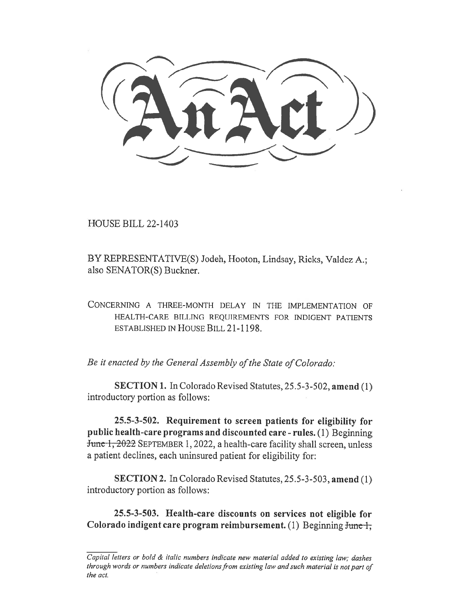HOUSE BILL 22-1403

BY REPRESENTATIVE(S) Jodeh, Hooton, Lindsay, Ricks, Valdez A.; also SENATOR(S) Buckner.

CONCERNING A THREE-MONTH DELAY IN THE IMPLEMENTATION OF HEALTH-CARE BILLING REQUIREMENTS FOR INDIGENT PATIENTS ESTABLISHED IN HOUSE BILL 21-1198.

Be it enacted by the General Assembly of the State of Colorado:

SECTION 1. In Colorado Revised Statutes, 25.5-3-502, amend (1) introductory portion as follows:

25.5-3-502. Requirement to screen patients for eligibility for public health-care programs and discounted care - rules. (1) Beginning Junc 1, 2022 SEPTEMBER 1, 2022, a health-care facility shall screen, unless a patient declines, each uninsured patient for eligibility for:

SECTION 2. In Colorado Revised Statutes, 25.5-3-503, amend (1) introductory portion as follows:

25.5-3-503. Health-care discounts on services not eligible for Colorado indigent care program reimbursement. (1) Beginning June 1,

Capital letters or bold & italic numbers indicate new material added to existing law; dashes through words or numbers indicate deletions from existing law and such material is not part of the act.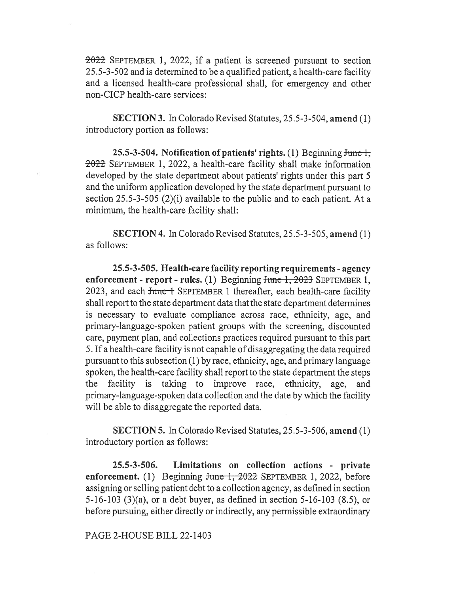$2022$  SEPTEMBER 1, 2022, if a patient is screened pursuant to section 25.5-3-502 and is determined to be a qualified patient, a health-care facility and a licensed health-care professional shall, for emergency and other non-CICP health-care services:

SECTION 3. In Colorado Revised Statutes, 25.5-3-504, amend (1) introductory portion as follows:

25.5-3-504. Notification of patients' rights. (1) Beginning  $\frac{1}{2}$  $2022$  SEPTEMBER 1, 2022, a health-care facility shall make information developed by the state department about patients' rights under this part 5 and the uniform application developed by the state department pursuant to section 25.5-3-505 (2)(i) available to the public and to each patient. At a minimum, the health-care facility shall:

SECTION 4. In Colorado Revised Statutes, 25.5-3-505, amend (1) as follows:

25.5-3-505. Health-care facility reporting requirements - agency enforcement - report - rules. (1) Beginning  $f$ une 1, 2023 SEPTEMBER 1, 2023, and each <del>June 1</del> SEPTEMBER 1 thereafter, each health-care facility shall report to the state department data that the state department determines is necessary to evaluate compliance across race, ethnicity, age, and primary-language-spoken patient groups with the screening, discounted care, payment plan, and collections practices required pursuant to this part 5. If a health-care facility is not capable of disaggregating the data required pursuant to this subsection (1) by race, ethnicity, age, and primary language spoken, the health-care facility shall report to the state department the steps the facility is taking to improve race, ethnicity, age, and primary-language-spoken data collection and the date by which the facility will be able to disaggregate the reported data.

SECTION 5. In Colorado Revised Statutes, 25.5-3-506, amend (1) introductory portion as follows:

25.5-3-506. Limitations on collection actions - private enforcement. (1) Beginning  $f$ unc 1, 2022 SEPTEMBER 1, 2022, before assigning or selling patient debt to a collection agency, as defined in section 5-16-103 (3)(a), or a debt buyer, as defined in section 5-16-103 (8.5), or before pursuing, either directly or indirectly, any permissible extraordinary

## PAGE 2-HOUSE BILL 22-1403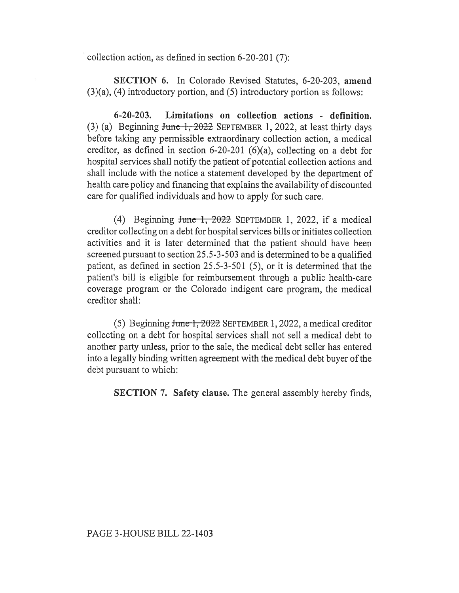collection action, as defined in section 6-20-201 (7):

SECTION 6. In Colorado Revised Statutes, 6-20-203, amend (3)(a), (4) introductory portion, and (5) introductory portion as follows:

6-20-203. Limitations on collection actions - definition. (3) (a) Beginning  $f$ une 1, 2022 SEPTEMBER 1, 2022, at least thirty days before taking any permissible extraordinary collection action, a medical creditor, as defined in section 6-20-201 (6)(a), collecting on a debt for hospital services shall notify the patient of potential collection actions and shall include with the notice a statement developed by the department of health care policy and financing that explains the availability of discounted care for qualified individuals and how to apply for such care.

(4) Beginning June 1,  $2022$  SEPTEMBER 1, 2022, if a medical creditor collecting on a debt for hospital services bills or initiates collection activities and it is later determined that the patient should have been screened pursuant to section 25.5-3-503 and is determined to be a qualified patient, as defined in section 25.5-3-501 (5), or it is determined that the patient's bill is eligible for reimbursement through a public health-care coverage program or the Colorado indigent care program, the medical creditor shall:

(5) Beginning June 1, 2022 SEPTEMBER 1, 2022, a medical creditor collecting on a debt for hospital services shall not sell a medical debt to another party unless, prior to the sale, the medical debt seller has entered into a legally binding written agreement with the medical debt buyer of the debt pursuant to which:

SECTION 7. Safety clause. The general assembly hereby finds,